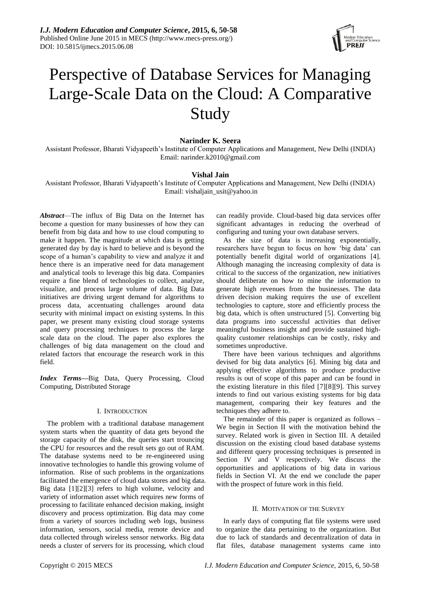

# Perspective of Database Services for Managing Large-Scale Data on the Cloud: A Comparative Study

# **Narinder K. Seera**

Assistant Professor, Bharati Vidyapeeth's Institute of Computer Applications and Management, New Delhi (INDIA) Email: narinder.k2010@gmail.com

# **Vishal Jain**

Assistant Professor, Bharati Vidyapeeth's Institute of Computer Applications and Management, New Delhi (INDIA) Email: vishaljain\_usit@yahoo.in

*Abstract*—The influx of Big Data on the Internet has become a question for many businesses of how they can benefit from big data and how to use cloud computing to make it happen. The magnitude at which data is getting generated day by day is hard to believe and is beyond the scope of a human's capability to view and analyze it and hence there is an imperative need for data management and analytical tools to leverage this big data. Companies require a fine blend of technologies to collect, analyze, visualize, and process large volume of data. Big Data initiatives are driving urgent demand for algorithms to process data, accentuating challenges around data security with minimal impact on existing systems. In this paper, we present many existing cloud storage systems and query processing techniques to process the large scale data on the cloud. The paper also explores the challenges of big data management on the cloud and related factors that encourage the research work in this field.

*Index Terms***—**Big Data, Query Processing, Cloud Computing, Distributed Storage

#### I. INTRODUCTION

The problem with a traditional database management system starts when the quantity of data gets beyond the storage capacity of the disk, the queries start trouncing the CPU for resources and the result sets go out of RAM. The database systems need to be re-engineered using innovative technologies to handle this growing volume of information. Rise of such problems in the organizations facilitated the emergence of cloud data stores and big data. Big data [1][2][3] refers to high volume, velocity and variety of information asset which requires new forms of processing to facilitate enhanced decision making, insight discovery and process optimization. Big data may come from a variety of sources including web logs, business information, sensors, social media, remote device and data collected through wireless sensor networks. Big data needs a cluster of servers for its processing, which cloud

can readily provide. Cloud-based big data services offer significant advantages in reducing the overhead of configuring and tuning your own database servers.

As the size of data is increasing exponentially, researchers have begun to focus on how 'big data' can potentially benefit digital world of organizations [4]. Although managing the increasing complexity of data is critical to the success of the organization, new initiatives should deliberate on how to mine the information to generate high revenues from the businesses. The data driven decision making requires the use of excellent technologies to capture, store and efficiently process the big data, which is often unstructured [5]. Converting big data programs into successful activities that deliver meaningful business insight and provide sustained highquality customer relationships can be costly, risky and sometimes unproductive.

There have been various techniques and algorithms devised for big data analytics [6]. Mining big data and applying effective algorithms to produce productive results is out of scope of this paper and can be found in the existing literature in this filed [7][8][9]. This survey intends to find out various existing systems for big data management, comparing their key features and the techniques they adhere to.

The remainder of this paper is organized as follows – We begin in Section II with the motivation behind the survey. Related work is given in Section III. A detailed discussion on the existing cloud based database systems and different query processing techniques is presented in Section IV and V respectively. We discuss the opportunities and applications of big data in various fields in Section VI. At the end we conclude the paper with the prospect of future work in this field.

# II. MOTIVATION OF THE SURVEY

In early days of computing flat file systems were used to organize the data pertaining to the organization. But due to lack of standards and decentralization of data in flat files, database management systems came into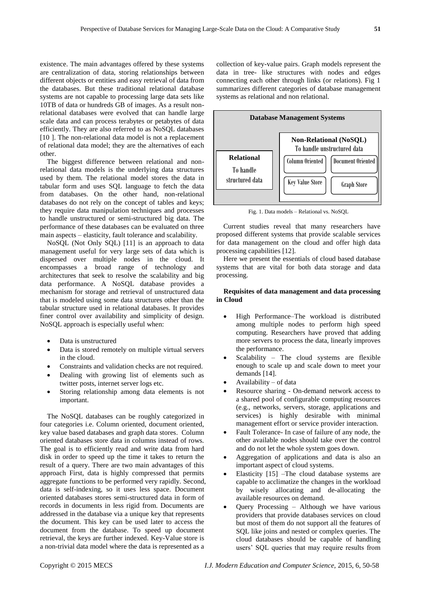existence. The main advantages offered by these systems are centralization of data, storing relationships between different objects or entities and easy retrieval of data from the databases. But these traditional relational database systems are not capable to processing large data sets like 10TB of data or hundreds GB of images. As a result nonrelational databases were evolved that can handle large scale data and can process terabytes or petabytes of data efficiently. They are also referred to as NoSQL databases [10]. The non-relational data model is not a replacement of relational data model; they are the alternatives of each other.

The biggest difference between relational and nonrelational data models is the underlying data structures used by them. The relational model stores the data in tabular form and uses SQL language to fetch the data from databases. On the other hand, non-relational databases do not rely on the concept of tables and keys; they require data manipulation techniques and processes to handle unstructured or semi-structured big data. The performance of these databases can be evaluated on three main aspects – elasticity, fault tolerance and scalability.

NoSQL (Not Only SQL) [11] is an approach to data management useful for very large sets of data which is dispersed over multiple nodes in the cloud. It encompasses a broad range of technology and architectures that seek to resolve the scalability and big data performance. A NoSQL database provides a mechanism for storage and retrieval of unstructured data that is modeled using some data structures other than the tabular structure used in relational databases. It provides finer control over availability and simplicity of design. NoSQL approach is especially useful when:

- Data is unstructured
- Data is stored remotely on multiple virtual servers in the cloud.
- Constraints and validation checks are not required.
- Dealing with growing list of elements such as twitter posts, internet server logs etc.
- Storing relationship among data elements is not important.

The NoSQL databases can be roughly categorized in four categories i.e. Column oriented, document oriented, key value based databases and graph data stores. Column oriented databases store data in columns instead of rows. The goal is to efficiently read and write data from hard disk in order to speed up the time it takes to return the result of a query. There are two main advantages of this approach First, data is highly compressed that permits aggregate functions to be performed very rapidly. Second, data is self-indexing, so it uses less space. Document oriented databases stores semi-structured data in form of records in documents in less rigid from. Documents are addressed in the database via a unique key that represents the document. This key can be used later to access the document from the database. To speed up document retrieval, the keys are further indexed. Key-Value store is a non-trivial data model where the data is represented as a

collection of key-value pairs. Graph models represent the data in tree- like structures with nodes and edges connecting each other through links (or relations). Fig 1 summarizes different categories of database management systems as relational and non relational.



Fig. 1. Data models – Relational vs. NoSQL

Current studies reveal that many researchers have proposed different systems that provide scalable services for data management on the cloud and offer high data processing capabilities [12].

Here we present the essentials of cloud based database systems that are vital for both data storage and data processing.

# **Requisites of data management and data processing in Cloud**

- High Performance–The workload is distributed among multiple nodes to perform high speed computing. Researchers have proved that adding more servers to process the data, linearly improves the performance.
- Scalability The cloud systems are flexible enough to scale up and scale down to meet your demands [14].
- Availability of data
- Resource sharing On-demand network access to a shared pool of configurable computing resources (e.g., networks, servers, storage, applications and services) is highly desirable with minimal management effort or service provider interaction.
- Fault Tolerance- In case of failure of any node, the other available nodes should take over the control and do not let the whole system goes down.
- Aggregation of applications and data is also an important aspect of cloud systems.
- Elasticity [15] –The cloud database systems are capable to acclimatize the changes in the workload by wisely allocating and de-allocating the available resources on demand.
- Query Processing Although we have various providers that provide databases services on cloud but most of them do not support all the features of SQL like joins and nested or complex queries. The cloud databases should be capable of handling users' SQL queries that may require results from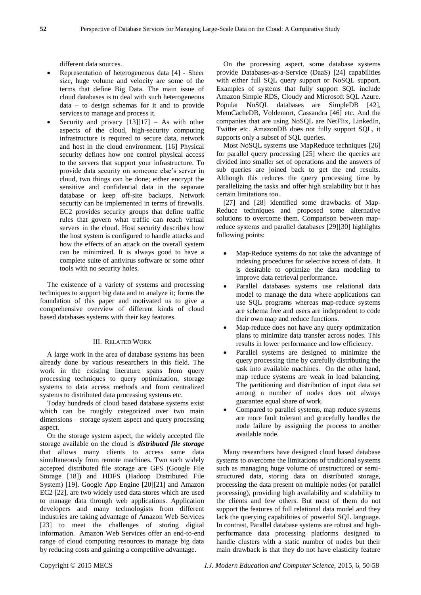different data sources.

- Representation of heterogeneous data [4] Sheer size, huge volume and velocity are some of the terms that define Big Data. The main issue of cloud databases is to deal with such heterogeneous data – to design schemas for it and to provide services to manage and process it.
- Security and privacy  $[13][17] As$  with other aspects of the cloud, high-security computing infrastructure is required to secure data, network and host in the cloud environment. [16] Physical security defines how one control physical access to the servers that support your infrastructure. To provide data security on someone else's server in cloud, two things can be done; either encrypt the sensitive and confidential data in the separate database or keep off-site backups. Network security can be implemented in terms of firewalls. EC2 provides security groups that define traffic rules that govern what traffic can reach virtual servers in the cloud. Host security describes how the host system is configured to handle attacks and how the effects of an attack on the overall system can be minimized. It is always good to have a complete suite of antivirus software or some other tools with no security holes.

The existence of a variety of systems and processing techniques to support big data and to analyze it; forms the foundation of this paper and motivated us to give a comprehensive overview of different kinds of cloud based databases systems with their key features.

# III. RELATED WORK

A large work in the area of database systems has been already done by various researchers in this field. The work in the existing literature spans from query processing techniques to query optimization, storage systems to data access methods and from centralized systems to distributed data processing systems etc.

Today hundreds of cloud based database systems exist which can be roughly categorized over two main dimensions – storage system aspect and query processing aspect.

On the storage system aspect, the widely accepted file storage available on the cloud is *distributed file storage* that allows many clients to access same data simultaneously from remote machines. Two such widely accepted distributed file storage are GFS (Google File Storage [18]) and HDFS (Hadoop Distributed File System) [19]. Google App Engine [20][21] and Amazon EC2 [22], are two widely used data stores which are used to manage data through web applications. Application developers and many technologists from different industries are taking advantage of Amazon Web Services [23] to meet the challenges of storing digital information. Amazon Web Services offer an end-to-end range of cloud computing resources to manage big data by reducing costs and gaining a competitive advantage.

On the processing aspect, some database systems provide Databases-as-a-Service (DaaS) [24] capabilities with either full SQL query support or NoSQL support. Examples of systems that fully support SQL include Amazon Simple RDS, Cloudy and Microsoft SQL Azure. Popular NoSQL databases are SimpleDB [42], MemCacheDB, Voldemort, Cassandra [46] etc. And the companies that are using NoSQL are NetFlix, LinkedIn, Twitter etc. AmazonDB does not fully support SQL, it supports only a subset of SQL queries.

Most NoSQL systems use MapReduce techniques [26] for parallel query processing [25] where the queries are divided into smaller set of operations and the answers of sub queries are joined back to get the end results. Although this reduces the query processing time by parallelizing the tasks and offer high scalability but it has certain limitations too.

[27] and [28] identified some drawbacks of Map-Reduce techniques and proposed some alternative solutions to overcome them. Comparison between mapreduce systems and parallel databases [29][30] highlights following points:

- Map-Reduce systems do not take the advantage of indexing procedures for selective access of data. It is desirable to optimize the data modeling to improve data retrieval performance.
- Parallel databases systems use relational data model to manage the data where applications can use SQL programs whereas map-reduce systems are schema free and users are independent to code their own map and reduce functions.
- Map-reduce does not have any query optimization plans to minimize data transfer across nodes. This results in lower performance and low efficiency.
- Parallel systems are designed to minimize the query processing time by carefully distributing the task into available machines. On the other hand, map reduce systems are weak in load balancing. The partitioning and distribution of input data set among n number of nodes does not always guarantee equal share of work.
- Compared to parallel systems, map reduce systems are more fault tolerant and gracefully handles the node failure by assigning the process to another available node.

Many researchers have designed cloud based database systems to overcome the limitations of traditional systems such as managing huge volume of unstructured or semistructured data, storing data on distributed storage, processing the data present on multiple nodes (or parallel processing), providing high availability and scalability to the clients and few others. But most of them do not support the features of full relational data model and they lack the querying capabilities of powerful SQL language. In contrast, Parallel database systems are robust and highperformance data processing platforms designed to handle clusters with a static number of nodes but their main drawback is that they do not have elasticity feature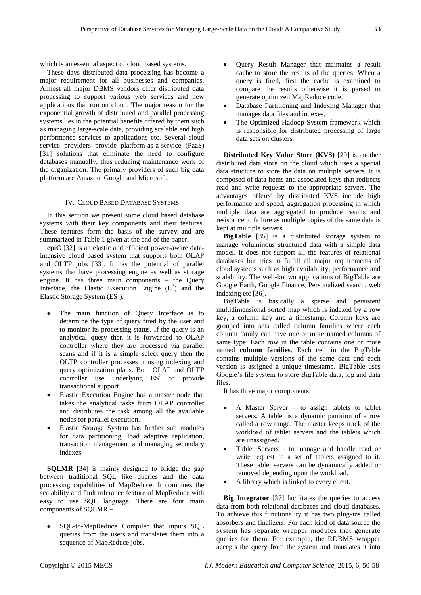which is an essential aspect of cloud based systems.

These days distributed data processing has become a major requirement for all businesses and companies. Almost all major DBMS vendors offer distributed data processing to support various web services and new applications that run on cloud. The major reason for the exponential growth of distributed and parallel processing systems lies in the potential benefits offered by them such as managing large-scale data, providing scalable and high performance services to applications etc. Several cloud service providers provide platform-as-a-service (PaaS) [31] solutions that eliminate the need to configure databases manually, thus reducing maintenance work of the organization. The primary providers of such big data platform are Amazon, Google and Microsoft.

## IV. CLOUD BASED DATABASE SYSTEMS

In this section we present some cloud based database systems with their key components and their features. These features form the basis of the survey and are summarized in Table 1 given at the end of the paper.

**epiC** [32] is an elastic and efficient power-aware dataintensive cloud based system that supports both OLAP and OLTP jobs [33]. It has the potential of parallel systems that have processing engine as well as storage engine. It has three main components – the Query Interface, the Elastic Execution Engine  $(E^3)$  and the Elastic Storage System  $(ES<sup>2</sup>)$ .

- The main function of Query Interface is to determine the type of query fired by the user and to monitor its processing status. If the query is an analytical query then it is forwarded to OLAP controller where they are processed via parallel scans and if it is a simple select query then the OLTP controller processes it using indexing and query optimization plans. Both OLAP and OLTP controller use underlying  $ES<sup>2</sup>$  to provide transactional support.
- Elastic Execution Engine has a master node that takes the analytical tasks from OLAP controller and distributes the task among all the available nodes for parallel execution.
- Elastic Storage System has further sub modules for data partitioning, load adaptive replication, transaction management and managing secondary indexes.

**SQLMR** [34] is mainly designed to bridge the gap between traditional SQL like queries and the data processing capabilities of MapReduce. It combines the scalability and fault tolerance feature of MapReduce with easy to use SQL language. There are four main components of SQLMR –

 SQL-to-MapReduce Compiler that inputs SQL queries from the users and translates them into a sequence of MapReduce jobs.

- Query Result Manager that maintains a result cache to store the results of the queries. When a query is fired, first the cache is examined to compare the results otherwise it is parsed to generate optimized MapReduce code.
- Database Partitioning and Indexing Manager that manages data files and indexes.
- The Optimized Hadoop System framework which is responsible for distributed processing of large data sets on clusters.

**Distributed Key Value Store (KVS)** [29] is another distributed data store on the cloud which uses a special data structure to store the data on multiple servers. It is composed of data items and associated keys that redirects read and write requests to the appropriate servers. The advantages offered by distributed KVS include high performance and speed, aggregation processing in which multiple data are aggregated to produce results and resistance to failure as multiple copies of the same data is kept at multiple servers.

**BigTable** [35] is a distributed storage system to manage voluminous structured data with a simple data model. It does not support all the features of relational databases but tries to fulfill all major requirements of cloud systems such as high availability, performance and scalability. The well-known applications of BigTable are Google Earth, Google Finance, Personalized search, web indexing etc [36].

BigTable is basically a sparse and persistent multidimensional sorted map which is indexed by a row key, a column key and a timestamp. Column keys are grouped into sets called column families where each column family can have one or more named columns of same type. Each row in the table contains one or more named **column families**. Each cell in the BigTable contains multiple versions of the same data and each version is assigned a unique timestamp. BigTable uses Google's file system to store BigTable data, log and data files.

It has three major components:

- A Master Server to assign tablets to tablet servers. A tablet is a dynamic partition of a row called a row range. The master keeps track of the workload of tablet servers and the tablets which are unassigned.
- Tablet Servers to manage and handle read or write request to a set of tablets assigned to it. These tablet servers can be dynamically added or removed depending upon the workload.
- A library which is linked to every client.

**Big Integrator** [37] facilitates the queries to access data from both relational databases and cloud databases. To achieve this functionality it has two plug-ins called absorbers and finalizers. For each kind of data source the system has separate wrapper modules that generate queries for them. For example, the RDBMS wrapper accepts the query from the system and translates it into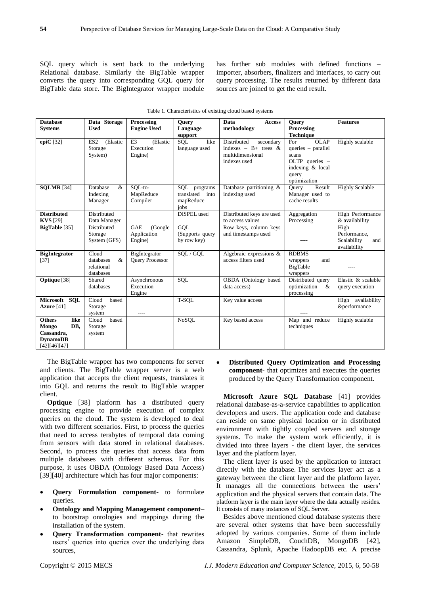SQL query which is sent back to the underlying Relational database. Similarly the BigTable wrapper converts the query into corresponding GQL query for BigTable data store. The BigIntegrator wrapper module has further sub modules with defined functions – importer, absorbers, finalizers and interfaces, to carry out query processing. The results returned by different data sources are joined to get the end result.

| <b>Database</b><br><b>Systems</b>                                                      | Data Storage<br><b>Used</b>                        | Processing<br><b>Engine Used</b>                   | <b>Ouery</b><br>Language                                | Data<br><b>Access</b><br>methodology                                                    | <b>Query</b><br>Processing                                                                                           | <b>Features</b>                                            |
|----------------------------------------------------------------------------------------|----------------------------------------------------|----------------------------------------------------|---------------------------------------------------------|-----------------------------------------------------------------------------------------|----------------------------------------------------------------------------------------------------------------------|------------------------------------------------------------|
|                                                                                        |                                                    |                                                    | support                                                 |                                                                                         | <b>Technique</b>                                                                                                     |                                                            |
| epi $C$ [32]                                                                           | ES <sub>2</sub><br>(Elastic<br>Storage<br>System)  | E <sub>3</sub><br>(Elastic<br>Execution<br>Engine) | SOL<br>like<br>language used                            | Distributed<br>secondary<br>indexes - B+ trees $\&$<br>multidimensional<br>indexes used | <b>OLAP</b><br>For<br>$queries - parallel$<br>scans<br>OLTP queries $-$<br>indexing & local<br>query<br>optimization | Highly scalable                                            |
| <b>SQLMR</b> [34]                                                                      | Database<br>&<br>Indexing<br>Manager               | SOL-to-<br>MapReduce<br>Compiler                   | SQL<br>programs<br>translated into<br>mapReduce<br>jobs | Database partitioning &<br>indexing used                                                | Result<br>Ouery<br>Manager used to<br>cache results                                                                  | <b>Highly Scalable</b>                                     |
| <b>Distributed</b><br><b>KVS</b> [29]                                                  | Distributed<br>Data Manager                        |                                                    | DISPEL used                                             | Distributed keys are used<br>to access values                                           | Aggregation<br>Processing                                                                                            | High Performance<br>& availability                         |
| <b>BigTable</b> [35]                                                                   | Distributed<br>Storage<br>System (GFS)             | <b>GAE</b><br>(Google<br>Application<br>Engine)    | GOL<br>(Supports query<br>by row key)                   | Row keys, column keys<br>and timestamps used                                            | $- - - -$                                                                                                            | High<br>Performance.<br>Scalability<br>and<br>availability |
| <b>BigIntegrator</b><br>[37]                                                           | Cloud<br>databases<br>&<br>relational<br>databases | BigIntegrator<br><b>Ouery Processor</b>            | SOL/GOL                                                 | Algebraic expressions &<br>access filters used                                          | <b>RDBMS</b><br>and<br>wrappers<br>BigTable<br>wrappers                                                              |                                                            |
| Optique [38]                                                                           | Shared<br>databases                                | Asynchronous<br>Execution<br>Engine                | SQL                                                     | OBDA (Ontology based<br>data access)                                                    | Distributed query<br>optimization<br>$\&$<br>processing                                                              | Elastic & scalable<br>query execution                      |
| Microsoft<br><b>SOL</b><br>Azure $[41]$                                                | Cloud<br>based<br>Storage<br>system                | ----                                               | T-SQL                                                   | Key value access                                                                        |                                                                                                                      | High availability<br>&performance                          |
| <b>Others</b><br>like<br>DB.<br>Mongo<br>Cassandra,<br><b>DynamoDB</b><br>[42][46][47] | based<br>Cloud<br>Storage<br>system                |                                                    | <b>NoSOL</b>                                            | Key based access                                                                        | Map and reduce<br>techniques                                                                                         | Highly scalable                                            |

Table 1. Characteristics of existing cloud based systems

The BigTable wrapper has two components for server and clients. The BigTable wrapper server is a web application that accepts the client requests, translates it into GQL and returns the result to BigTable wrapper client.

**Optique** [38] platform has a distributed query processing engine to provide execution of complex queries on the cloud. The system is developed to deal with two different scenarios. First, to process the queries that need to access terabytes of temporal data coming from sensors with data stored in relational databases. Second, to process the queries that access data from multiple databases with different schemas. For this purpose, it uses OBDA (Ontology Based Data Access) [39][40] architecture which has four major components:

- **Query Formulation component** to formulate queries.
- **Ontology and Mapping Management component** to bootstrap ontologies and mappings during the installation of the system.
- **Query Transformation component** that rewrites users' queries into queries over the underlying data sources,

 **Distributed Query Optimization and Processing component**- that optimizes and executes the queries produced by the Query Transformation component.

**Microsoft Azure SQL Database** [41] provides relational database-as-a-service capabilities to application developers and users. The application code and database can reside on same physical location or in distributed environment with tightly coupled servers and storage systems. To make the system work efficiently, it is divided into three layers - the client layer, the services layer and the platform layer.

The client layer is used by the application to interact directly with the database. The services layer act as a gateway between the client layer and the platform layer. It manages all the connections between the users' application and the physical servers that contain data. The platform layer is the main layer where the data actually resides. It consists of many instances of SQL Server.

Besides above mentioned cloud database systems there are several other systems that have been successfully adopted by various companies. Some of them include Amazon SimpleDB, CouchDB, MongoDB [42], Cassandra, Splunk, Apache HadoopDB etc. A precise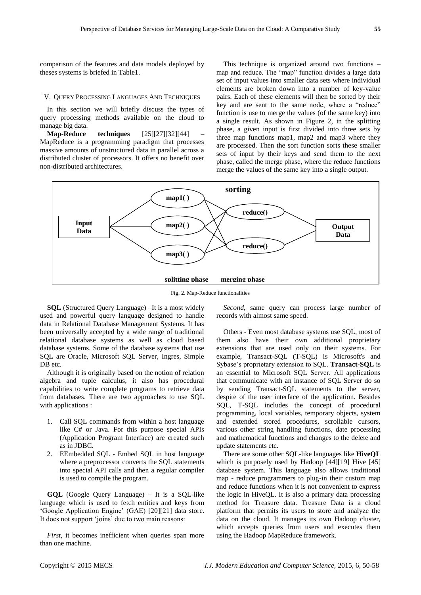comparison of the features and data models deployed by theses systems is briefed in Table1.

#### V. QUERY PROCESSING LANGUAGES AND TECHNIQUES

In this section we will briefly discuss the types of query processing methods available on the cloud to manage big data.

**Map-Reduce techniques** [25][27][32][44] **–** MapReduce is a programming paradigm that processes massive amounts of unstructured data in parallel across a distributed cluster of processors. It offers no benefit over non-distributed architectures.

This technique is organized around two functions – map and reduce. The "map" function divides a large data set of input values into smaller data sets where individual elements are broken down into a number of key-value pairs. Each of these elements will then be sorted by their key and are sent to the same node, where a "reduce" function is use to merge the values (of the same key) into a single result. As shown in Figure 2, in the splitting phase, a given input is first divided into three sets by three map functions map1, map2 and map3 where they are processed. Then the sort function sorts these smaller sets of input by their keys and send them to the next phase, called the merge phase, where the reduce functions merge the values of the same key into a single output.



Fig. 2. Map-Reduce functionalities

**SQL** (Structured Query Language) –It is a most widely used and powerful query language designed to handle data in Relational Database Management Systems. It has been universally accepted by a wide range of traditional relational database systems as well as cloud based database systems. Some of the database systems that use SQL are Oracle, Microsoft SQL Server, Ingres, Simple DB etc.

Although it is originally based on the notion of relation algebra and tuple calculus, it also has procedural capabilities to write complete programs to retrieve data from databases. There are two approaches to use SQL with applications :

- 1. Call SQL commands from within a host language like C# or Java. For this purpose special APIs (Application Program Interface) are created such as in JDBC.
- 2. EEmbedded SQL Embed SQL in host language where a preprocessor converts the SQL statements into special API calls and then a regular compiler is used to compile the program.

**GQL** (Google Query Language) – It is a SQL-like language which is used to fetch entities and keys from ‗Google Application Engine' (GAE) [20][21] data store. It does not support 'joins' due to two main reasons:

*First*, it becomes inefficient when queries span more than one machine.

*Second*, same query can process large number of records with almost same speed.

Others - Even most database systems use SQL, most of them also have their own additional proprietary extensions that are used only on their systems. For example, Transact-SQL (T-SQL) is Microsoft's and Sybase's proprietary extension to SQL. **Transact-SQL** is an essential to Microsoft SQL Server. All applications that communicate with an instance of SQL Server do so by sending Transact-SQL statements to the server, despite of the user interface of the application. Besides SQL, T-SQL includes the concept of procedural programming, local variables, temporary objects, system and extended stored procedures, scrollable cursors, various other string handling functions, date processing and mathematical functions and changes to the delete and update statements etc.

There are some other SQL-like languages like **HiveQL** which is purposely used by Hadoop [44][19] Hive [45] database system. This language also allows traditional map - reduce programmers to plug-in their custom map and reduce functions when it is not convenient to express the logic in HiveQL. It is also a primary data processing method for Treasure data. Treasure Data is a cloud platform that permits its users to store and analyze the data on the cloud. It manages its own Hadoop cluster, which accepts queries from users and executes them using the Hadoop MapReduce framework.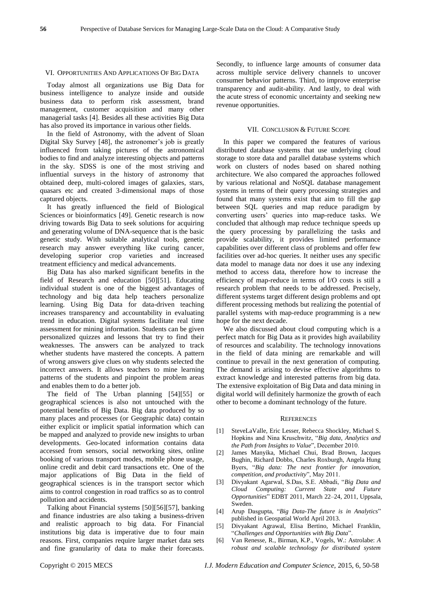#### VI. OPPORTUNITIES AND APPLICATIONS OF BIG DATA

Today almost all organizations use Big Data for business intelligence to analyze inside and outside business data to perform risk assessment, brand management, customer acquisition and many other managerial tasks [4]. Besides all these activities Big Data has also proved its importance in various other fields.

In the field of Astronomy, with the advent of Sloan Digital Sky Survey [48], the astronomer's job is greatly influenced from taking pictures of the astronomical bodies to find and analyze interesting objects and patterns in the sky. SDSS is one of the most striving and influential surveys in the history of astronomy that obtained deep, multi-colored images of galaxies, stars, quasars etc and created 3-dimensional maps of those captured objects.

It has greatly influenced the field of Biological Sciences or bioinformatics [49]. Genetic research is now driving towards Big Data to seek solutions for acquiring and generating volume of DNA-sequence that is the basic genetic study. With suitable analytical tools, genetic research may answer everything like curing cancer, developing superior crop varieties and increased treatment efficiency and medical advancements.

Big Data has also marked significant benefits in the field of Research and education [50][51]. Educating individual student is one of the biggest advantages of technology and big data help teachers personalize learning. Using Big Data for data-driven teaching increases transparency and accountability in evaluating trend in education. Digital systems facilitate real time assessment for mining information. Students can be given personalized quizzes and lessons that try to find their weaknesses. The answers can be analyzed to track whether students have mastered the concepts. A pattern of wrong answers give clues on why students selected the incorrect answers. It allows teachers to mine learning patterns of the students and pinpoint the problem areas and enables them to do a better job.

The field of The Urban planning [54][55] or geographical sciences is also not untouched with the potential benefits of Big Data. Big data produced by so many places and processes (or Geographic data) contain either explicit or implicit spatial information which can be mapped and analyzed to provide new insights to urban developments. Geo-located information contains data accessed from sensors, social networking sites, online booking of various transport modes, mobile phone usage, online credit and debit card transactions etc. One of the major applications of Big Data in the field of geographical sciences is in the transport sector which aims to control congestion in road traffics so as to control pollution and accidents.

Talking about Financial systems [50][56][57], banking and finance industries are also taking a business-driven and realistic approach to big data. For Financial institutions big data is imperative due to four main reasons. First, companies require larger market data sets and fine granularity of data to make their forecasts.

Secondly, to influence large amounts of consumer data across multiple service delivery channels to uncover consumer behavior patterns. Third, to improve enterprise transparency and audit-ability. And lastly, to deal with the acute stress of economic uncertainty and seeking new revenue opportunities.

#### VII. CONCLUSION & FUTURE SCOPE

In this paper we compared the features of various distributed database systems that use underlying cloud storage to store data and parallel database systems which work on clusters of nodes based on shared nothing architecture. We also compared the approaches followed by various relational and NoSQL database management systems in terms of their query processing strategies and found that many systems exist that aim to fill the gap between SQL queries and map reduce paradigm by converting users' queries into map-reduce tasks. We concluded that although map reduce technique speeds up the query processing by parallelizing the tasks and provide scalability, it provides limited performance capabilities over different class of problems and offer few facilities over ad-hoc queries. It neither uses any specific data model to manage data nor does it use any indexing method to access data, therefore how to increase the efficiency of map-reduce in terms of I/O costs is still a research problem that needs to be addressed. Precisely, different systems target different design problems and opt different processing methods but realizing the potential of parallel systems with map-reduce programming is a new hope for the next decade.

We also discussed about cloud computing which is a perfect match for Big Data as it provides high availability of resources and scalability. The technology innovations in the field of data mining are remarkable and will continue to prevail in the next generation of computing. The demand is arising to devise effective algorithms to extract knowledge and interested patterns from big data. The extensive exploitation of Big Data and data mining in digital world will definitely harmonize the growth of each other to become a dominant technology of the future.

#### **REFERENCES**

- [1] SteveLaValle, Eric Lesser, Rebecca Shockley, Michael S. Hopkins and Nina Kruschwitz, "Big data, Analytics and the Path from Insights to Value", December 2010.
- [2] James Manyika, Michael Chui, Brad Brown, Jacques Bughin, Richard Dobbs, Charles Roxburgh, Angela Hung Byers, ―*Big data: The next frontier for innovation,*  competition, and productivity", May 2011.
- [3] Divyakant Agarwal, S.Das, S.E. Abbadi, "Big Data and *Cloud Computing: Current State and Future Opportunities*‖ EDBT 2011, March 22–24, 2011, Uppsala, Sweden.
- [4] Arup Dasgupta, "Big Data-The future is in Analytics" published in Geospatial World April 2013.
- [5] Divyakant Agrawal, Elisa Bertino, Michael Franklin, ―*Challenges and Opportunities with Big Data*‖.
- [6] Van Renesse, R., Birman, K.P., Vogels, W.: Astrolabe: *A robust and scalable technology for distributed system*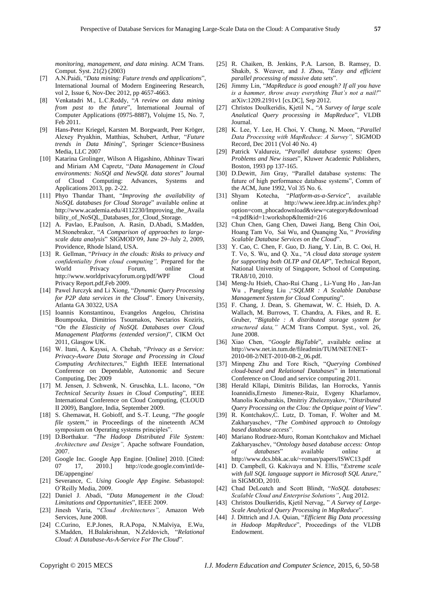*monitoring, management, and data mining.* ACM Trans. Comput. Syst. 21(2) (2003)

- [7] A.N.Paidi, "Data mining: Future trends and applications", International Journal of Modern Engineering Research, vol 2, Issue 6, Nov-Dec 2012, pp 4657-4663.
- [8] Venkatadri M., L.C.Reddy, ―*A review on data mining from past to the future*‖, International Journal of Computer Applications (0975-8887), Volujme 15, No. 7, Feb 2011.
- [9] Hans-Peter Kriegel, Karsten M. Borgwardt, Peer Kröger, Alexey Pryakhin, Matthias, Schubert, Arthur, "Future *trends in Data Mining*‖, Springer Science+Business Media, LLC 2007
- [10] Katarina Grolinger, Wilson A Higashino, Abhinav Tiwari and Miriam AM Capretz, "Data Management in Cloud environments: NoSQl and NewSQL data stores" Journal of Cloud Computing: Advances, Systems and Applications 2013, pp. 2-22.
- [11] Phyo Thandar Thant, "Improving the availability of *NoSQL databases for Cloud Storage*" available online at http://www.academia.edu/4112230/Improving\_the\_Availa bility\_of\_NoSQL\_Databases\_for\_Cloud\_Storage.
- [12] A. Pavlao, E.Paulson, A. Rasin, D.Abadi, S.Madden, M.Stonebraker, "A *Comparison of approaches to largescale data analysis*‖ SIGMOD'09, June 29–July 2, 2009, Providence, Rhode Island, USA.
- [13] R. Gellman, "Privacy in the clouds: Risks to privacy and *confidentiality from cloud computing",* Prepared for the World Privacy Forum, online at http://www.worldprivacyforum.org/pdf/WPF Cloud Privacy Report.pdf,Feb 2009.
- [14] Pawel Jurczyk and Li Xiong, "Dynamic Query Processing *for P2P data services in the Cloud*". Emory University, Atlanta GA 30322, USA
- [15] Ioannis Konstantinou, Evangelos Angelou, Christina Boumpouka, Dimitrios Tsoumakos, Nectarios Koziris, ―*On the Elasticity of NoSQL Databases over Cloud Management Platforms (extended version)*", CIKM Oct 2011, Glasgow UK.
- [16] W. Itani, A. Kayssi, A. Chehab, ―*Privacy as a Service: Privacy-Aware Data Storage and Processing in Cloud Computing Architectures*,‖ Eighth IEEE International Conference on Dependable, Autonomic and Secure Computing, Dec 2009
- [17] M. Jensen, J. Schwenk, N. Gruschka, L.L. Iacono, "On *Technical Security Issues in Cloud Computing*‖, IEEE International Conference on Cloud Computing, (CLOUD II 2009), Banglore, India, September 2009.
- [18] S. Ghemawat, H. Gobioff, and S.-T. Leung, "*The google file system*," in Proceedings of the nineteenth ACM symposium on Operating systems principles".
- [19] D.Borthakur. ―*The Hadoop Distributed File System: Architecture and Design",* Apache software Foundation, 2007.
- [20] Google Inc. Google App Engine. [Online] 2010. [Cited: 07 17, 2010.] http://code.google.com/intl/de-DE/appengine/
- [21] Severance, C. *Using Google App Engine.* Sebastopol: O'Reilly Media, 2009.
- [22] Daniel J. Abadi, "Data Management in the Cloud: *Limitations and Opportunities*‖, IEEE 2009.
- [23] Jinesh Varia, "Cloud Architectures", Amazon Web Services, June 2008.
- [24] C.Curino, E.P.Jones, R.A.Popa, N.Malviya, E.Wu, S.Madden, H.Balakrishnan, N.Zeldovich, "Relational Cloud: A Database-As-A-Service For The Cloud".
- [25] R. Chaiken, B. Jenkins, P.A. Larson, B. Ramsey, D. Shakib, S. Weaver, and J. Zhou, "Easy and efficient *parallel processing of massive data sets*‖.
- [26] Jimmy Lin, ―*MapReduce is good enough? If all you have is a hammer, throw away everything That's not a nail!*" arXiv:1209.2191v1 [cs.DC], Sep 2012.
- [27] Christos Doulkeridis, Kjetil N., "A Survey of large scale *Analutical Query processing in MapReduce*‖, VLDB Journal.
- [28] K. Lee, Y. Lee, H. Choi, Y. Chung, N. Moon, "Parallel *Data Processing with MapReduce: A Survey",* SIGMOD Record, Dec 2011 (Vol 40 No. 4)
- [29] Patrick Valdureiz, "Parallel database systems: Open Problems and New issues", Kluwer Academic Publishers, Boston, 1993 pp 137-165.
- [30] D.Dewitt, Jim Gray, "Parallel database systems: The future of high performance database systems", Comm of the ACM, June 1992, Vol 35 No. 6.
- [31] Shyam Kotecha, "Platform-as-a-Service", available online at http://www.ieee.ldrp.ac.in/index.php? option=com\_phocadownload&view=category&download =4:pdf&id=1:workshop&Itemid=216
- [32] Chun Chen, Gang Chen, Dawei Jiang, Beng Chin Ooi, Hoang Tam Vo, Sai Wu, and Quanqing Xu, "*Providing* Scalable Database Services on the Cloud".
- [33] Y. Cao, C. Chen, F. Guo, D. Jiang, Y. Lin, B. C. Ooi, H. T. Vo, S. Wu, and Q. Xu., "A cloud data storage system *for supporting both OLTP and OLAP*", Technical Report, National University of Singapore, School of Computing. TRA8/10, 2010.
- [34] Meng-Ju Hsieh, Chao-Rui Chang , Li-Yung Ho , Jan-Jan Wu, Pangfeng Liu, "SQLMR : A Scalable Database *Management System for Cloud Computing"*.
- [35] F. Chang, J. Dean, S. Ghemawat, W. C. Hsieh, D. A. Wallach, M. Burrows, T. Chandra, A. Fikes, and R. E. Gruber, "Bigtable : A distributed storage system for *structured data,"* ACM Trans Comput. Syst., vol. 26, June 2008.
- [36] Xiao Chen, "Google BigTable", available online at http://www.net.in.tum.de/fileadmin/TUM/NET/NET-2010-08-2/NET-2010-08-2\_06.pdf.
- [37] Minpeng Zhu and Tore Risch, "Querying Combined *cloud-based and Relational Databases*‖ in International Conference on Cloud and service computing 2011.
- [38] Herald Kllapi, Dimitris Bilidas, Ian Horrocks, Yannis Ioannidis,Ernesto Jimenez-Ruiz, Evgeny Kharlamov, Manolis Koubarakis, Dmitriy Zheleznyakov, ―*Distributed Query Processing on the Clou: the Optique point of View*‖.
- [39] R. Kontchakov,C. Lutz, D. Toman, F. Wolter and M. Zakharyaschev, ―*The Combined approach to Ontology based database access*‖.
- [40] Mariano Rodruez-Muro, Roman Kontchakov and Michael Zakharyaschev, "Ontology based database access: Ontop *of databases*‖ available online at http://www.dcs.bbk.ac.uk/~roman/papers/ISWC13.pdf
- [41] D. Campbell, G. Kakivaya and N. Ellis, "Extreme scale *with full SQL language support in Microsoft SQL Azure,*‖ in SIGMOD, 2010.
- [42] Chad DeLoatch and Scott Blindt, "NoSQL databases: *Scalable Cloud and Enterprise Solutions"*, Aug 2012.
- [43] Christos Doulkeridis, Kjetil Nervag, " A Survey of Large-*Scale Analytical Query Processing in MapReduce*‖.
- [44] J. Dittrich and J.A. Quian, "*Efficient Big Data processing in Hadoop MapReduce*", Proceedings of the VLDB Endowment.